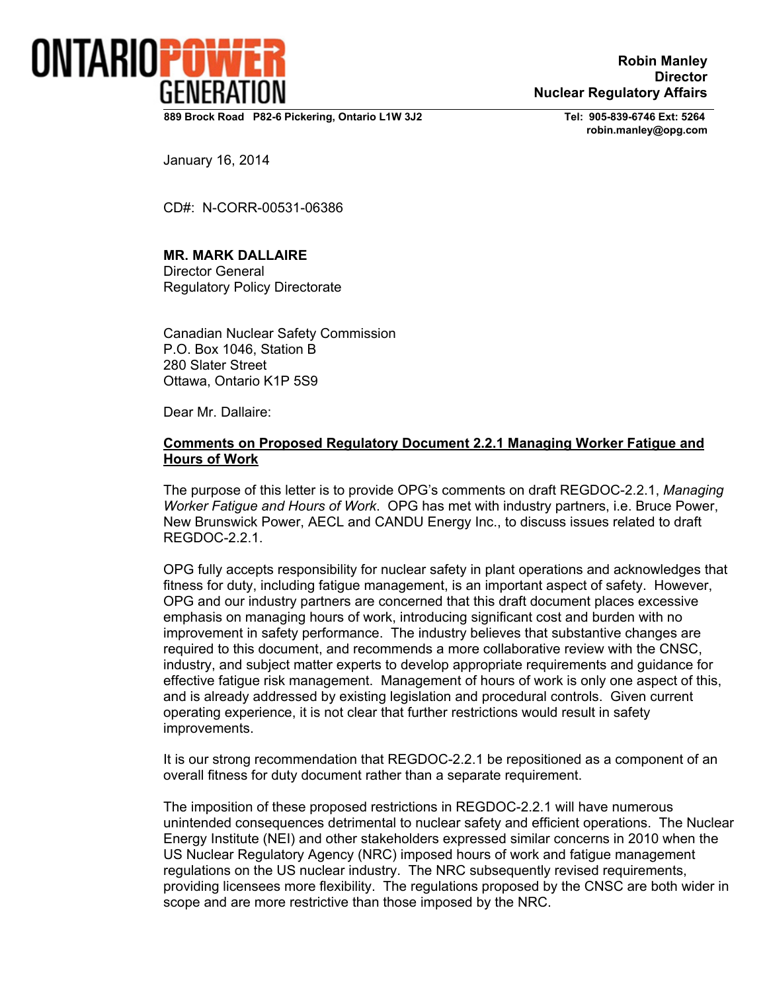

**Robin Manley Director Nuclear Regulatory Affairs** 

**889 Brock Road P82-6 Pickering, Ontario L1W 3J2 Tel: 905-839-6746 Ext: 5264**

 **robin.manley@opg.com** 

January 16, 2014

CD#: N-CORR-00531-06386

## **MR. MARK DALLAIRE**

Director General Regulatory Policy Directorate

Canadian Nuclear Safety Commission P.O. Box 1046, Station B 280 Slater Street Ottawa, Ontario K1P 5S9

Dear Mr. Dallaire:

## **Comments on Proposed Regulatory Document 2.2.1 Managing Worker Fatigue and Hours of Work**

The purpose of this letter is to provide OPG's comments on draft REGDOC-2.2.1, *Managing Worker Fatigue and Hours of Work*. OPG has met with industry partners, i.e. Bruce Power, New Brunswick Power, AECL and CANDU Energy Inc., to discuss issues related to draft REGDOC-2.2.1.

OPG fully accepts responsibility for nuclear safety in plant operations and acknowledges that fitness for duty, including fatigue management, is an important aspect of safety. However, OPG and our industry partners are concerned that this draft document places excessive emphasis on managing hours of work, introducing significant cost and burden with no improvement in safety performance. The industry believes that substantive changes are required to this document, and recommends a more collaborative review with the CNSC, industry, and subject matter experts to develop appropriate requirements and guidance for effective fatigue risk management. Management of hours of work is only one aspect of this, and is already addressed by existing legislation and procedural controls. Given current operating experience, it is not clear that further restrictions would result in safety improvements.

It is our strong recommendation that REGDOC-2.2.1 be repositioned as a component of an overall fitness for duty document rather than a separate requirement.

The imposition of these proposed restrictions in REGDOC-2.2.1 will have numerous unintended consequences detrimental to nuclear safety and efficient operations. The Nuclear Energy Institute (NEI) and other stakeholders expressed similar concerns in 2010 when the US Nuclear Regulatory Agency (NRC) imposed hours of work and fatigue management regulations on the US nuclear industry. The NRC subsequently revised requirements, providing licensees more flexibility. The regulations proposed by the CNSC are both wider in scope and are more restrictive than those imposed by the NRC.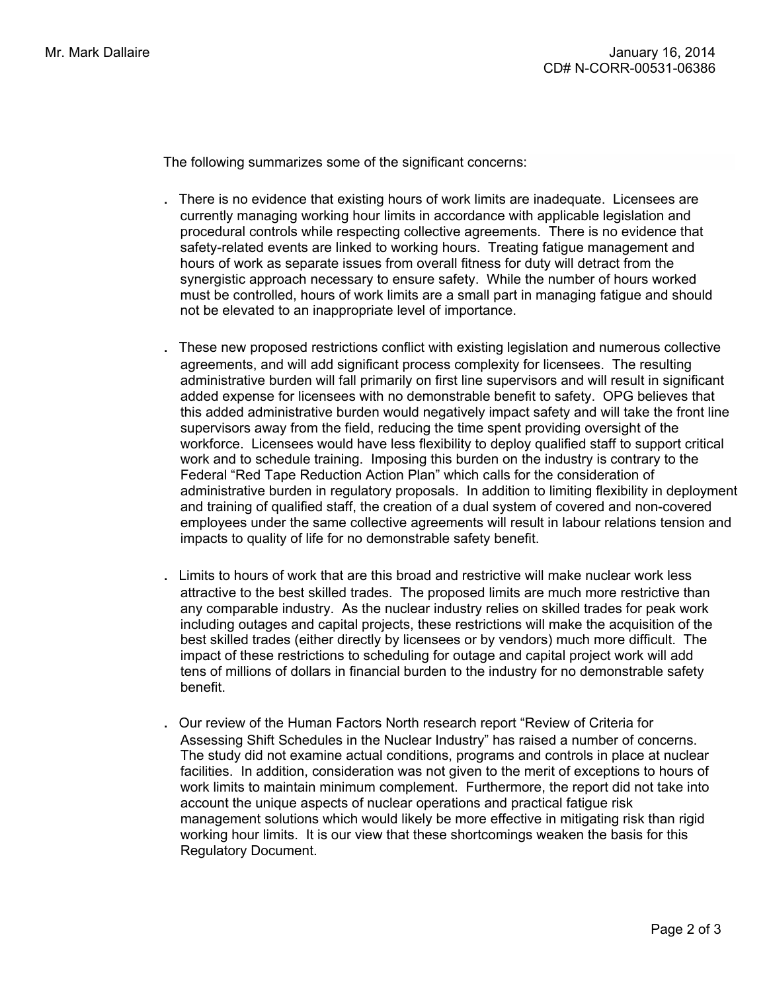The following summarizes some of the significant concerns:

- . There is no evidence that existing hours of work limits are inadequate. Licensees are currently managing working hour limits in accordance with applicable legislation and procedural controls while respecting collective agreements. There is no evidence that safety-related events are linked to working hours. Treating fatigue management and hours of work as separate issues from overall fitness for duty will detract from the synergistic approach necessary to ensure safety. While the number of hours worked must be controlled, hours of work limits are a small part in managing fatigue and should not be elevated to an inappropriate level of importance.
- These new proposed restrictions conflict with existing legislation and numerous collective agreements, and will add significant process complexity for licensees. The resulting administrative burden will fall primarily on first line supervisors and will result in significant added expense for licensees with no demonstrable benefit to safety. OPG believes that this added administrative burden would negatively impact safety and will take the front line supervisors away from the field, reducing the time spent providing oversight of the workforce. Licensees would have less flexibility to deploy qualified staff to support critical work and to schedule training. Imposing this burden on the industry is contrary to the Federal "Red Tape Reduction Action Plan" which calls for the consideration of administrative burden in regulatory proposals. In addition to limiting flexibility in deployment and training of qualified staff, the creation of a dual system of covered and non-covered employees under the same collective agreements will result in labour relations tension and impacts to quality of life for no demonstrable safety benefit.
- . Limits to hours of work that are this broad and restrictive will make nuclear work less attractive to the best skilled trades. The proposed limits are much more restrictive than any comparable industry. As the nuclear industry relies on skilled trades for peak work including outages and capital projects, these restrictions will make the acquisition of the best skilled trades (either directly by licensees or by vendors) much more difficult. The impact of these restrictions to scheduling for outage and capital project work will add tens of millions of dollars in financial burden to the industry for no demonstrable safety benefit.
- Our review of the Human Factors North research report "Review of Criteria for Assessing Shift Schedules in the Nuclear Industry" has raised a number of concerns. The study did not examine actual conditions, programs and controls in place at nuclear facilities. In addition, consideration was not given to the merit of exceptions to hours of work limits to maintain minimum complement. Furthermore, the report did not take into account the unique aspects of nuclear operations and practical fatigue risk management solutions which would likely be more effective in mitigating risk than rigid working hour limits. It is our view that these shortcomings weaken the basis for this Regulatory Document.